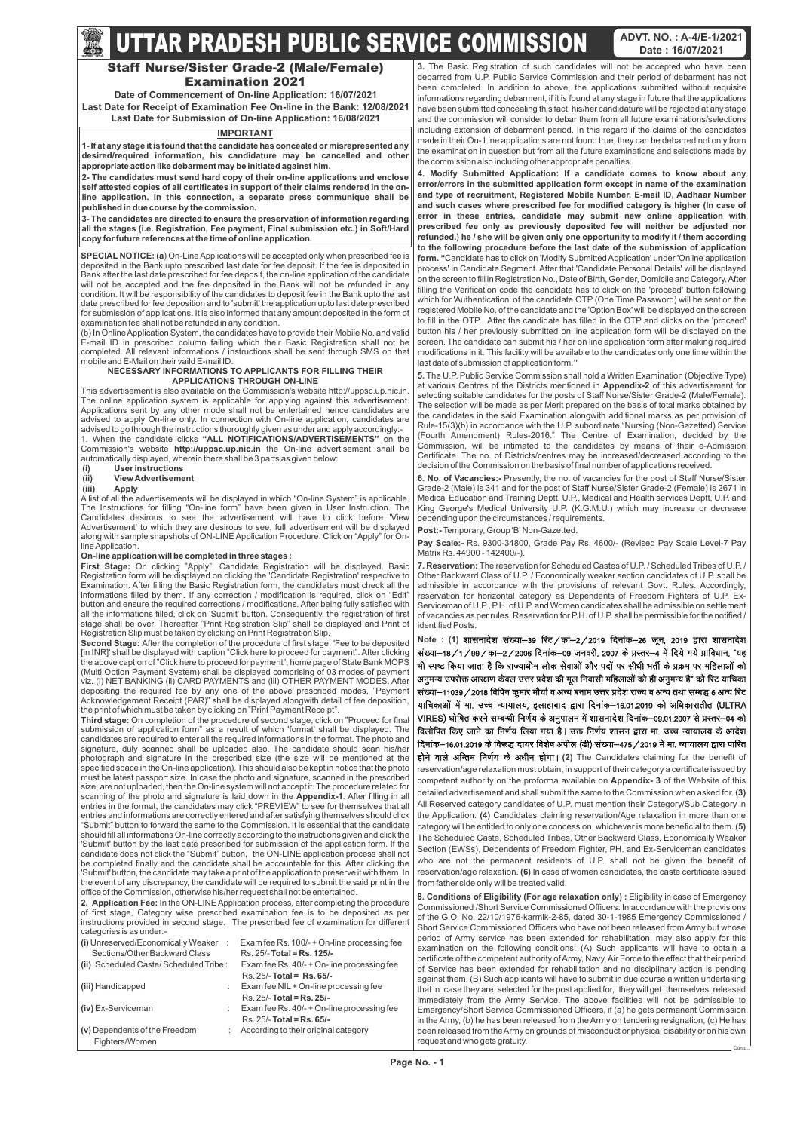## **IMPORTANT**

**1- If at any stage it is found that the candidate has concealed or misrepresented any desired/required information, his candidature may be cancelled and other appropriate action like debarment may be initiated against him.**

**2- The candidates must send hard copy of their on-line applications and enclose self attested copies of all certificates in support of their claims rendered in the online application. In this connection, a separate press communique shall be published in due course by the commission.**

**3- The candidates are directed to ensure the preservation of information regarding all the stages (i.e. Registration, Fee payment, Final submission etc.) in Soft/Hard copy for future references at the time of online application.**

# **UTTAR PRADESH PUBLIC SERVICE COMMISSION** ADVT. NO. : A-4/E-1/2021

# Staff Nurse/Sister Grade-2 (Male/Female) Examination 2021

**SPECIAL NOTICE: (a**) On-Line Applications will be accepted only when prescribed fee is deposited in the Bank upto prescribed last date for fee deposit. If the fee is deposited in Bank after the last date prescribed for fee deposit, the on-line application of the candidate will not be accepted and the fee deposited in the Bank will not be refunded in any condition. It will be responsibility of the candidates to deposit fee in the Bank upto the last date prescribed for fee deposition and to 'submit' the application upto last date prescribed for submission of applications. It is also informed that any amount deposited in the form of examination fee shall not be refunded in any condition.

(b) In Online Application System, the candidates have to provide their Mobile No. and valid E-mail ID in prescribed column failing which their Basic Registration shall not be completed. All relevant informations / instructions shall be sent through SMS on that mobile and E-Mail on their vaild E-mail ID.

#### **NECESSARY INFORMATIONS TO APPLICANTS FOR FILLING THEIR APPLICATIONS THROUGH ON-LINE**

This advertisement is also available on the Commission's website http://uppsc.up.nic.in. The online application system is applicable for applying against this advertisement. Applications sent by any other mode shall not be entertained hence candidates are advised to apply On-line only. In connection with On-line application, candidates are advised to go through the instructions thoroughly given as under and apply accordingly:- 1. When the candidate clicks **"ALL NOTIFICATIONS/ADVERTISEMENTS"** on the Commission's website **http://uppsc.up.nic.in** the On-line advertisement shall be

automatically displayed, wherein there shall be 3 parts as given below:

#### **(i) User instructions (ii) View Advertisement**

**(iii) Apply**

A list of all the advertisements will be displayed in which "On-line System" is applicable. The Instructions for filling "On-line form" have been given in User Instruction. The Candidates desirous to see the advertisement will have to click before 'View Advertisement' to which they are desirous to see, full advertisement will be displayed along with sample snapshots of ON-LINE Application Procedure. Click on "Apply" for Online Application.

### **On-line application will be completed in three stages :**

**First Stage:** On clicking "Apply", Candidate Registration will be displayed. Basic Registration form will be displayed on clicking the 'Candidate Registration' respective to Examination. After filling the Basic Registration form, the candidates must check all the informations filled by them. If any correction / modification is required, click on "Edit" button and ensure the required corrections / modifications. After being fully satisfied with all the informations filled, click on 'Submit' button. Consequently, the registration of first stage shall be over. Thereafter "Print Registration Slip" shall be displayed and Print of Registration Slip must be taken by clicking on Print Registration Slip.

**Second Stage:** After the completion of the procedure of first stage, 'Fee to be deposited [in INR]' shall be displayed with caption "Click here to proceed for payment". After clicking the above caption of "Click here to proceed for payment", home page of State Bank MOPS (Multi Option Payment System) shall be displayed comprising of 03 modes of payment viz. (i) NET BANKING (ii) CARD PAYMENTS and (iii) OTHER PAYMENT MODES. After depositing the required fee by any one of the above prescribed modes, "Payment Acknowledgement Receipt (PAR)" shall be displayed alongwith detail of fee deposition, the print of which must be taken by clicking on "Print Payment Receipt".

**Third stage:** On completion of the procedure of second stage, click on "Proceed for final submission of application form" as a result of which 'format' shall be displayed. The candidates are required to enter all the required informations in the format. The photo and signature, duly scanned shall be uploaded also. The candidate should scan his/her photograph and signature in the prescribed size (the size will be mentioned at the specified space in the On-line application). This should also be kept in notice that the photo must be latest passport size. In case the photo and signature, scanned in the prescribed size, are not uploaded, then the On-line system will not accept it. The procedure related for scanning of the photo and signature is laid down in the **Appendix-1**. After filling in all entries in the format, the candidates may click "PREVIEW" to see for themselves that all entries and informations are correctly entered and after satisfying themselves should click "Submit" button to forward the same to the Commission. It is essential that the candidate should fill all informations On-line correctly according to the instructions given and click the 'Submit' button by the last date prescribed for submission of the application form. If the does not click the "Submit" button, the ON-LINE application process shall be completed finally and the candidate shall be accountable for this. After clicking the 'Submit' button, the candidate may take a print of the application to preserve it with them. In the event of any discrepancy, the candidate will be required to submit the said print in the office of the Commission, otherwise his/her request shall not be entertained. **2. Application Fee:** In the ON-LINE Application process, after completing the procedure of first stage, Category wise prescribed examination fee is to be deposited as per instructions provided in second stage. The prescribed fee of examination for different categories is as under:-

होने वाले अन्तिम निर्णय के अधीन होगा। (2) The Candidates claiming for the benefit of reservation/age relaxation must obtain, in support of their category a certificate issued by competent authority on the proforma available on **Appendix- 3** of the Website of this detailed advertisement and shall submit the same to the Commission when asked for. **(3)** All Reserved category candidates of U.P. must mention their Category/Sub Category in the Application. **(4)** Candidates claiming reservation/Age relaxation in more than one category will be entitled to only one concession, whichever is more beneficial to them. **(5)** The Scheduled Caste, Scheduled Tribes, Other Backward Class, Economically Weaker Section (EWSs), Dependents of Freedom Fighter, PH. and Ex-Serviceman candidates

| (i) Unreserved/Economically Weaker :  | Exam fee Rs. 100/- + On-line processing fee |
|---------------------------------------|---------------------------------------------|
| Sections/Other Backward Class         | Rs. 25/- Total = Rs. 125/-                  |
| (ii) Scheduled Caste/Scheduled Tribe: | Exam fee Rs. 40/- + On-line processing fee  |
|                                       | $Rs. 25/- Total = Rs. 65/-$                 |
| (iii) Handicapped                     | Exam fee NIL + On-line processing fee       |
|                                       | $Rs. 25/-$ Total = Rs. 25/-                 |
| (iv) Ex-Serviceman                    | Exam fee Rs. 40/- + On-line processing fee  |
|                                       | $Rs. 25/- Total = Rs. 65/-$                 |
| (v) Dependents of the Freedom         | According to their original category        |
| Fighters/Women                        |                                             |

**3.** The Basic Registration of such candidates will not be accepted who have been debarred from U.P. Public Service Commission and their period of debarment has not been completed. In addition to above, the applications submitted without requisite informations regarding debarment, if it is found at any stage in future that the applications have been submitted concealing this fact, his/her candidature will be rejected at any stage and the commission will consider to debar them from all future examinations/selections including extension of debarment period. In this regard if the claims of the candidates made in their On- Line applications are not found true, they can be debarred not only from the examination in question but from all the future examinations and selections made by the commission also including other appropriate penalties.

**4. Modify Submitted Application: If a candidate comes to know about any error/errors in the submitted application form except in name of the examination and type of recruitment, Registered Mobile Number, E-mail ID, Aadhaar Number and such cases where prescribed fee for modified category is higher (In case of error in these entries, candidate may submit new online application with prescribed fee only as previously deposited fee will neither be adjusted nor refunded.) he / she will be given only one opportunity to modify it / them according to the following procedure before the last date of the submission of application form. "**Candidate has to click on 'Modify Submitted Application' under 'Online application process' in Candidate Segment. After that 'Candidate Personal Details' will be displayed on the screen to fill in Registration No., Date of Birth, Gender, Domicile and Category. After filling the Verification code the candidate has to click on the 'proceed' button following which for 'Authentication' of the candidate OTP (One Time Password) will be sent on the registered Mobile No. of the candidate and the 'Option Box' will be displayed on the screen to fill in the OTP. After the candidate has filled in the OTP and clicks on the 'proceed' button his / her previously submitted on line application form will be displayed on the screen. The candidate can submit his / her on line application form after making required modifications in it. This facility will be available to the candidates only one time within the last date of submission of application form.**"**

**5.** The U.P. Public Service Commission shall hold a Written Examination (Objective Type) at various Centres of the Districts mentioned in **Appendix-2** of this advertisement for selecting suitable candidates for the posts of Staff Nurse/Sister Grade-2 (Male/Female). The selection will be made as per Merit prepared on the basis of total marks obtained by the candidates in the said Examination alongwith additional marks as per provision of Rule-15(3)(b) in accordance with the U.P. subordinate "Nursing (Non-Gazetted) Service (Fourth Amendment) Rules-2016." The Centre of Examination, decided by the Commission, will be intimated to the candidates by means of their e-Admission Certificate. The no. of Districts/centres may be increased/decreased according to the decision of the Commission on the basis of final number of applications received.

**6. No. of Vacancies:-** Presently, the no. of vacancies for the post of Staff Nurse/Sister Grade-2 (Male) is 341 and for the post of Staff Nurse/Sister Grade-2 (Female) is 2671 in Medical Education and Training Deptt. U.P., Medical and Health services Deptt, U.P. and King George's Medical University U.P. (K.G.M.U.) which may increase or decrease depending upon the circumstances / requirements.

**Post:-**Temporary, Group 'B' Non-Gazetted.

**Pay Scale:-** Rs. 9300-34800, Grade Pay Rs. 4600/- (Revised Pay Scale Level-7 Pay Matrix Rs. 44900 - 142400/-).

**7. Reservation:** The reservation for Scheduled Castes of U.P. / Scheduled Tribes of U.P. / Other Backward Class of U.P. / Economically weaker section candidates of U.P. shall be admissible in accordance with the provisions of relevant Govt. Rules. Accordingly, reservation for horizontal category as Dependents of Freedom Fighters of U.P, Ex-Serviceman of U.P., P.H. of U.P. and Women candidates shall be admissible on settlement of vacancies as per rules. Reservation for P.H. of U.P. shall be permissible for the notified / identified Posts.

Note : (1) शासनादेश संख्या–39 रिट⁄का–2/2019 दिनांक–26 जून, 2019 द्वारा शासनादेश संख्या–18/1/99/का–2/2006 दिनांक–09 जनवरी, 2007 के प्रस्तर–4 में दिये गये प्राविधान, "यह भी स्पष्ट किया जाता है कि राज्याधीन लोक सेवाओं और पदों पर सीधी भर्ती के प्रक्रम पर महिलाओं को अनुमन्य उपरोक्त आरक्षण केवल उत्तर प्रदेश की मूल निवासी महिलाओं को ही अनुमन्य है" को रिट याचिका संख्या—11039 / 2018 विपिन कुमार मौर्या व अन्य बनाम उत्तर प्रदेश राज्य व अन्य तथा सम्बद्ध 6 अन्य रिट याचिकाओं में मा. उच्च न्यायालय, इलाहाबाद द्वारा दिनांक–16.01.2019 को अधिकारातीत (ULTRA VIRES) घोषित करने सम्बन्धी निर्णय के अनुपालन में शासनादेश दिनांक–09.01.2007 से प्रस्तर–04 को विलोपित किए जाने का निर्णय लिया गया है। उक्त निर्णय शासन द्वारा मा. उच्च न्यायालय के आदेश दिनांक–16.01.2019 के विरूद्ध दायर विशेष अपील (डी) संख्या–475 / 2019 में मा. न्यायालय द्वारा पारित

who are not the permanent residents of U.P. shall not be given the benefit of reservation/age relaxation. **(6)** In case of women candidates, the caste certificate issued from father side only will be treated valid.

**8. Conditions of Eligibility (For age relaxation only) :** Eligibility in case of Emergency Commissioned /Short Service Commissioned Officers: In accordance with the provisions of the G.O. No. 22/10/1976-karmik-2-85, dated 30-1-1985 Emergency Commissioned / Short Service Commissioned Officers who have not been released from Army but whose period of Army service has been extended for rehabilitation, may also apply for this examination on the following conditions: (A) Such applicants will have to obtain a certificate of the competent authority of Army, Navy, Air Force to the effect that their period of Service has been extended for rehabilitation and no disciplinary action is pending against them. (B) Such applicants will have to submit in due course a written undertaking that in case they are selected for the post applied for, they will get themselves released immediately from the Army Service. The above facilities will not be admissible to Emergency/Short Service Commissioned Officers, if (a) he gets permanent Commission in the Army, (b) he has been released from the Army on tendering resignation, (c) He has been released from the Army on grounds of misconduct or physical disability or on his own request and who gets gratuity. Contd...

**Date of Commencement of On-line Application: 16/07/2021 Last Date for Receipt of Examination Fee On-line in the Bank: 12/08/2021 Last Date for Submission of On-line Application: 16/08/2021**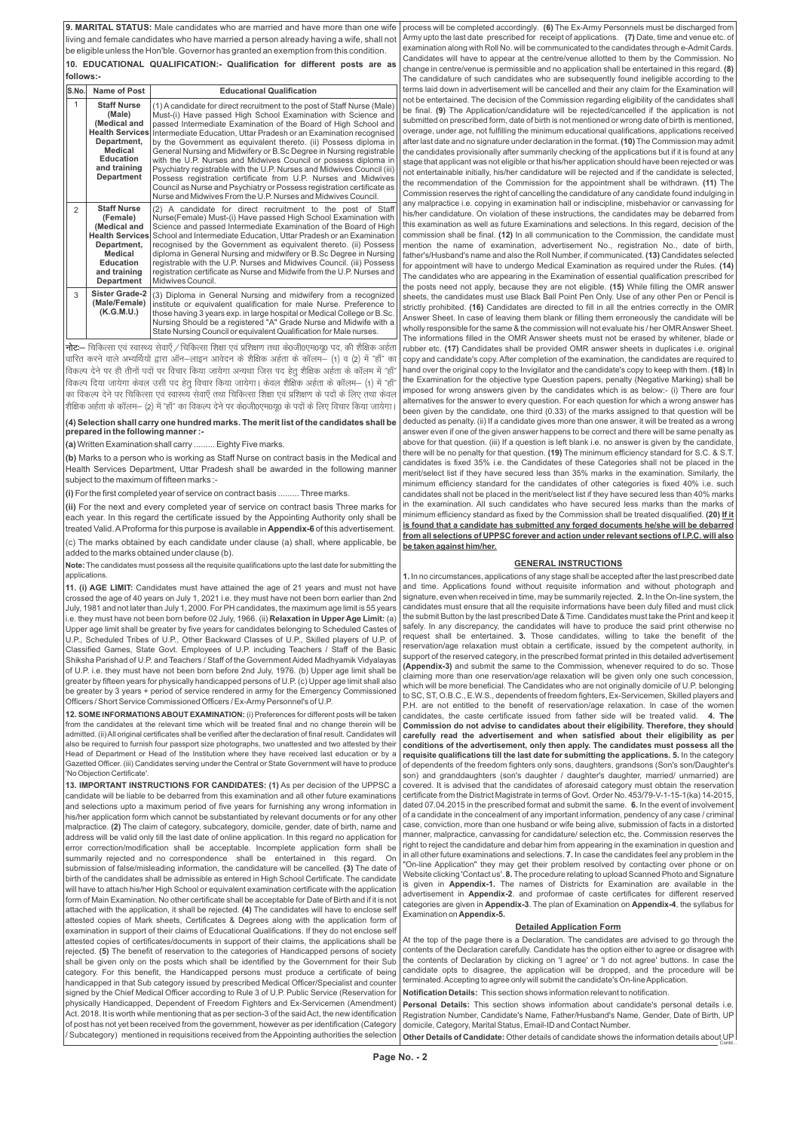**9. MARITAL STATUS:** Male candidates who are married and have more than one wife living and female candidates who have married a person already having a wife, shall not be eligible unless the Hon'ble. Governor has granted an exemption from this condition.

**10. EDUCATIONAL QUALIFICATION:- Qualification for different posts are as follows:-**

### **GENERAL INSTRUCTIONS**

**1.** In no circumstances, applications of any stage shall be accepted after the last prescribed date and time. Applications found without requisite information and without photograph and signature, even when received in time, may be summarily rejected. **2.** In the On-line system, the candidates must ensure that all the requisite informations have been duly filled and must click the submit Button by the last prescribed Date & Time. Candidates must take the Print and keep it safely. In any discrepancy, the candidates will have to produce the said print otherwise no request shall be entertained. **3.** Those candidates, willing to take the benefit of the reservation/age relaxation must obtain a certificate, issued by the competent authority, in support of the reserved category, in the prescribed format printed in this detailed advertisement **(Appendix-3)** and submit the same to the Commission, whenever required to do so. Those claiming more than one reservation/age relaxation will be given only one such concession, which will be more beneficial. The Candidates who are not originally domicile of U.P. belonging to SC, ST, O.B.C., E.W.S., dependents of freedom fighters, Ex-Servicemen, Skilled players and P.H. are not entitled to the benefit of reservation/age relaxation. In case of the women candidates, the caste certificate issued from father side will be treated valid. **4. The Commission do not advise to candidates about their eligibility. Therefore, they should carefully read the advertisement and when satisfied about their eligibility as per conditions of the advertisement, only then apply. The candidates must possess all the requisite qualifications till the last date for submitting the applications. 5.** In the category of dependents of the freedom fighters only sons, daughters, grandsons (Son's son/Daughter's son) and granddaughters (son's daughter / daughter's daughter, married/ unmarried) are covered. It is advised that the candidates of aforesaid category must obtain the reservation certificate from the District Magistrate in terms of Govt. Order No. 453/79-V-1-15-1(ka) 14-2015, dated 07.04.2015 in the prescribed format and submit the same. **6.** In the event of involvement of a candidate in the concealment of any important information, pendency of any case / criminal case, conviction, more than one husband or wife being alive, submission of facts in a distorted manner, malpractice, canvassing for candidature/ selection etc, the. Commission reserves the right to reject the candidature and debar him from appearing in the examination in question and

**(b)** Marks to a person who is working as Staff Nurse on contract basis in the Medical and Health Services Department, Uttar Pradesh shall be awarded in the following manner subject to the maximum of fifteen marks :-

process will be completed accordingly. **(6)** The Ex-Army Personnels must be discharged from Army upto the last date prescribed for receipt of applications. **(7)** Date, time and venue etc. of examination along with Roll No. will be communicated to the candidates through e-Admit Cards. Candidates will have to appear at the centre/venue allotted to them by the Commission. No change in centre/venue is permissible and no application shall be entertained in this regard. **(8)** The candidature of such candidates who are subsequently found ineligible according to the terms laid down in advertisement will be cancelled and their any claim for the Examination will not be entertained. The decision of the Commission regarding eligibility of the candidates shall be final. **(9)** The Application/candidature will be rejected/cancelled if the application is not submitted on prescribed form, date of birth is not mentioned or wrong date of birth is mentioned, overage, under age, not fulfilling the minimum educational qualifications, applications received after last date and no signature under declaration in the format. **(10)**The Commission may admit the candidates provisionally after summarily checking of the applications but if it is found at any stage that applicant was not eligible or that his/her application should have been rejected or was not entertainable initially, his/her candidature will be rejected and if the candidate is selected, the recommendation of the Commission for the appointment shall be withdrawn. **(11)** The Commission reserves the right of cancelling the candidature of any candidate found indulging in any malpractice i.e. copying in examination hall or indiscipline, misbehavior or canvassing for his/her candidature. On violation of these instructions, the candidates may be debarred from this examination as well as future Examinations and selections. In this regard, decision of the commission shall be final. **(12)** In all communication to the Commission, the candidate must mention the name of examination, advertisement No., registration No., date of birth, father's/Husband's name and also the Roll Number, if communicated. **(13)** Candidates selected for appointment will have to undergo Medical Examination as required under the Rules. **(14)** The candidates who are appearing in the Examination of essential qualification prescribed for the posts need not apply, because they are not eligible. **(15)** While filling the OMR answer sheets, the candidates must use Black Ball Point Pen Only. Use of any other Pen or Pencil is strictly prohibited. **(16)** Candidates are directed to fill in all the entries correctly in the OMR Answer Sheet. In case of leaving them blank or filling them erroneously the candidate will be wholly responsible for the same & the commission will not evaluate his / her OMR Answer Sheet. The informations filled in the OMR Answer sheets must not be erased by whitener, blade or rubber etc. **(17)** Candidates shall be provided OMR answer sheets in duplicates i.e. original copy and candidate's copy. After completion of the examination, the candidates are required to hand over the original copy to the Invigilator and the candidate's copy to keep with them. **(18)** In the Examination for the objective type Question papers, penalty (Negative Marking) shall be imposed for wrong answers given by the candidates which is as below:- (i) There are four alternatives for the answer to every question. For each question for which a wrong answer has been given by the candidate, one third (0.33) of the marks assigned to that question will be deducted as penalty. (ii) If a candidate gives more than one answer, it will be treated as a wrong answer even if one of the given answer happens to be correct and there will be same penalty as above for that question. (iii) If a question is left blank i.e. no answer is given by the candidate, there will be no penalty for that question. **(19)** The minimum efficiency standard for S.C. & S.T. candidates is fixed 35% i.e. the Candidates of these Categories shall not be placed in the merit/select list if they have secured less than 35% marks in the examination. Similarly, the minimum efficiency standard for the candidates of other categories is fixed 40% i.e. such candidates shall not be placed in the merit/select list if they have secured less than 40% marks in the examination. All such candidates who have secured less marks than the marks of minimum efficiency standard as fixed by the Commission shall be treated disqualified. **(20) If it is found that a candidate has submitted any forged documents he/she will be debarred from all selections of UPPSC forever and action under relevant sections of I.P.C. will also be taken against him/her.** 

| summarily rejected and no correspondence shall be entertained in this regard.<br>On<br>submission of false/misleading information, the candidature will be cancelled. (3) The date of<br>birth of the candidates shall be admissible as entered in High School Certificate. The candidate<br>will have to attach his/her High School or equivalent examination certificate with the application<br>form of Main Examination. No other certificate shall be acceptable for Date of Birth and if it is not<br>attached with the application, it shall be rejected. (4) The candidates will have to enclose self<br>attested copies of Mark sheets, Certificates & Degrees along with the application form of<br>examination in support of their claims of Educational Qualifications. If they do not enclose self | in all other future examinations and selections. 7. In case the candidates feel any problem in the<br>"On-line Application" they may get their problem resolved by contacting over phone or on<br>Website clicking 'Contact us'. 8. The procedure relating to upload Scanned Photo and Signature<br>is given in <b>Appendix-1.</b> The names of Districts for Examination are available in the<br>advertisement in Appendix-2. and proformae of caste certificates for different reserved<br>categories are given in Appendix-3. The plan of Examination on Appendix-4, the syllabus for<br>Examination on Appendix-5.<br><b>Detailed Application Form</b> |
|-----------------------------------------------------------------------------------------------------------------------------------------------------------------------------------------------------------------------------------------------------------------------------------------------------------------------------------------------------------------------------------------------------------------------------------------------------------------------------------------------------------------------------------------------------------------------------------------------------------------------------------------------------------------------------------------------------------------------------------------------------------------------------------------------------------------|------------------------------------------------------------------------------------------------------------------------------------------------------------------------------------------------------------------------------------------------------------------------------------------------------------------------------------------------------------------------------------------------------------------------------------------------------------------------------------------------------------------------------------------------------------------------------------------------------------------------------------------------------------|
| attested copies of certificates/documents in support of their claims, the applications shall be                                                                                                                                                                                                                                                                                                                                                                                                                                                                                                                                                                                                                                                                                                                 | At the top of the page there is a Declaration. The candidates are advised to go through the                                                                                                                                                                                                                                                                                                                                                                                                                                                                                                                                                                |
| rejected. (5) The benefit of reservation to the categories of Handicapped persons of society                                                                                                                                                                                                                                                                                                                                                                                                                                                                                                                                                                                                                                                                                                                    | contents of the Declaration carefully. Candidate has the option either to agree or disagree with                                                                                                                                                                                                                                                                                                                                                                                                                                                                                                                                                           |
| shall be given only on the posts which shall be identified by the Government for their Sub                                                                                                                                                                                                                                                                                                                                                                                                                                                                                                                                                                                                                                                                                                                      | the contents of Declaration by clicking on 'I agree' or 'I do not agree' buttons. In case the                                                                                                                                                                                                                                                                                                                                                                                                                                                                                                                                                              |
| category. For this benefit, the Handicapped persons must produce a certificate of being                                                                                                                                                                                                                                                                                                                                                                                                                                                                                                                                                                                                                                                                                                                         | candidate opts to disagree, the application will be dropped, and the procedure will be                                                                                                                                                                                                                                                                                                                                                                                                                                                                                                                                                                     |
| handicapped in that Sub category issued by prescribed Medical Officer/Specialist and counter                                                                                                                                                                                                                                                                                                                                                                                                                                                                                                                                                                                                                                                                                                                    | terminated. Accepting to agree only will submit the candidate's On-line Application.                                                                                                                                                                                                                                                                                                                                                                                                                                                                                                                                                                       |
| signed by the Chief Medical Officer according to Rule 3 of U.P. Public Service (Reservation for                                                                                                                                                                                                                                                                                                                                                                                                                                                                                                                                                                                                                                                                                                                 | Notification Details: This section shows information relevant to notification.                                                                                                                                                                                                                                                                                                                                                                                                                                                                                                                                                                             |
| physically Handicapped, Dependent of Freedom Fighters and Ex-Servicemen (Amendment)                                                                                                                                                                                                                                                                                                                                                                                                                                                                                                                                                                                                                                                                                                                             | Personal Details: This section shows information about candidate's personal details i.e.                                                                                                                                                                                                                                                                                                                                                                                                                                                                                                                                                                   |
| Act. 2018. It is worth while mentioning that as per section-3 of the said Act, the new identification                                                                                                                                                                                                                                                                                                                                                                                                                                                                                                                                                                                                                                                                                                           | Registration Number, Candidate's Name, Father/Husband's Name, Gender, Date of Birth, UP                                                                                                                                                                                                                                                                                                                                                                                                                                                                                                                                                                    |
| of post has not yet been received from the government, however as per identification (Category                                                                                                                                                                                                                                                                                                                                                                                                                                                                                                                                                                                                                                                                                                                  | domicile, Category, Marital Status, Email-ID and Contact Number.                                                                                                                                                                                                                                                                                                                                                                                                                                                                                                                                                                                           |
| / Subcategory) mentioned in requisitions received from the Appointing authorities the selection                                                                                                                                                                                                                                                                                                                                                                                                                                                                                                                                                                                                                                                                                                                 | <b>Other Details of Candidate:</b> Other details of candidate shows the information details about UP                                                                                                                                                                                                                                                                                                                                                                                                                                                                                                                                                       |

#### **(4) Selection shall carry one hundred marks. The merit list of the candidates shall be prepared in the following manner :-**

**(a)** Written Examination shall carry ......... Eighty Five marks.

**(i)** For the first completed year of service on contract basis ......... Three marks.

**(ii)** For the next and every completed year of service on contract basis Three marks for each year. In this regard the certificate issued by the Appointing Authority only shall be treated Valid. AProforma for this purpose is available in **Appendix-6** of this advertisement.

(c) The marks obtained by each candidate under clause (a) shall, where applicable, be added to the marks obtained under clause (b).

**Note:** The candidates must possess all the requisite qualifications upto the last date for submitting the applications.

**11. (i) AGE LIMIT:** Candidates must have attained the age of 21 years and must not have crossed the age of 40 years on July 1, 2021 i.e. they must have not been born earlier than 2nd July, 1981 and not later than July 1, 2000. For PH candidates, the maximum age limit is 55 years i.e. they must have not been born before 02 July, 1966. (ii) **Relaxation in Upper Age Limit:** (a) Upper age limit shall be greater by five years for candidates belonging to Scheduled Castes of U.P., Scheduled Tribes of U.P., Other Backward Classes of U.P., Skilled players of U.P. of Classified Games, State Govt. Employees of U.P. including Teachers / Staff of the Basic Shiksha Parishad of U.P. and Teachers / Staff of the Government Aided Madhyamik Vidyalayas of U.P. i.e. they must have not been born before 2nd July, 1976. (b) Upper age limit shall be greater by fifteen years for physically handicapped persons of U.P. (c) Upper age limit shall also be greater by 3 years + period of service rendered in army for the Emergency Commissioned Officers / Short Service Commissioned Officers / Ex-Army Personnel's of U.P.

**12. SOME INFORMATIONS ABOUT EXAMINATION:** (i) Preferences for different posts will be taken from the candidates at the relevant time which will be treated final and no change therein will be admitted. (ii) All original certificates shall be verified after the declaration of final result. Candidates will also be required to furnish four passport size photographs, two unattested and two attested by their Head of Department or Head of the Institution where they have received last education or by a Gazetted Officer. (iii) Candidates serving under the Central or State Government will have to produce 'No Objection Certificate'.

**13. IMPORTANT INSTRUCTIONS FOR CANDIDATES: (1)** As per decision of the UPPSC a candidate will be liable to be debarred from this examination and all other future examinations and selections upto a maximum period of five years for furnishing any wrong information in his/her application form which cannot be substantiated by relevant documents or for any other malpractice. **(2)** The claim of category, subcategory, domicile, gender, date of birth, name and address will be valid only till the last date of online application. In this regard no application for error correction/modification shall be acceptable. Incomplete application form shall be

| S.No.         | Name of Post                                                                                                                                                       | <b>Educational Qualification</b>                                                                                                                                                                                                                                                                                                                                                                                                                                                                                                                                                                                                                                                                                                                                                        |  |
|---------------|--------------------------------------------------------------------------------------------------------------------------------------------------------------------|-----------------------------------------------------------------------------------------------------------------------------------------------------------------------------------------------------------------------------------------------------------------------------------------------------------------------------------------------------------------------------------------------------------------------------------------------------------------------------------------------------------------------------------------------------------------------------------------------------------------------------------------------------------------------------------------------------------------------------------------------------------------------------------------|--|
| 1             | <b>Staff Nurse</b><br>(Male)<br>(Medical and<br><b>Health Services</b><br>Department,<br>Medical<br><b>Education</b><br>and training<br><b>Department</b>          | (1) A candidate for direct recruitment to the post of Staff Nurse (Male)<br>Must-(i) Have passed High School Examination with Science and<br>passed Intermediate Examination of the Board of High School and<br>Intermediate Education, Uttar Pradesh or an Examination recognised<br>by the Government as equivalent thereto. (ii) Possess diploma in<br>General Nursing and Midwifery or B.Sc Degree in Nursing registrable<br>with the U.P. Nurses and Midwives Council or possess diploma in<br>Psychiatry registrable with the U.P. Nurses and Midwives Council (iii)<br>Possess registration certificate from U.P. Nurses and Midwives<br>Council as Nurse and Psychiatry or Possess registration certificate as<br>Nurse and Midwives From the U.P. Nurses and Midwives Council. |  |
| $\mathcal{P}$ | <b>Staff Nurse</b><br>(Female)<br>(Medical and<br><b>Health Services</b><br>Department,<br><b>Medical</b><br><b>Education</b><br>and training<br><b>Department</b> | (2) A candidate for direct recruitment to the post of Staff<br>Nurse(Female) Must-(i) Have passed High School Examination with<br>Science and passed Intermediate Examination of the Board of High<br>School and Intermediate Education, Uttar Pradesh or an Examination<br>recognised by the Government as equivalent thereto. (ii) Possess<br>diploma in General Nursing and midwifery or B.Sc Degree in Nursing<br>registrable with the U.P. Nurses and Midwives Council. (iii) Possess<br>registration certificate as Nurse and Midwife from the U.P. Nurses and<br>Midwives Council.                                                                                                                                                                                               |  |
| 3             | <b>Sister Grade-2</b><br>(Male/Female)<br>(K.G.M.U.)                                                                                                               | (3) Diploma in General Nursing and midwifery from a recognized<br>institute or equivalent qualification for male Nurse. Preference to<br>those having 3 years exp. in large hospital or Medical College or B.Sc.<br>Nursing Should be a registered "A" Grade Nurse and Midwife with a<br>State Nursing Council or equivalent Qualification for Male nurses.                                                                                                                                                                                                                                                                                                                                                                                                                             |  |

 $\vec{h}$ ट:— चिकित्सा एवं स्वास्थ्य सेवाएँ / चिकित्सा शिक्षा एवं प्रशिक्षण तथा के0जी0एम0यू0 पद, की शैक्षिक अर्हता eि धारित करने वाले अभ्यर्थियों द्वारा ऑन—लाइन आवेदन के शैक्षिक अर्हता के कॉलम— (1) व (2) में "हाँ" का [विकल्प देने पर ही तीनों पदों पर विचार किया जायेगा अन्यथा जिस पद हेतु शैक्षिक अर्हता के कॉलम में "हाँ"  $\vert$  विकल्प दिया जायेगा केवल उसी पद हेतू विचार किया जायेगा। केवल शैक्षिक अर्हता के कॉलम— (1) में "हाँ' का विकल्प देने पर चिकित्सा एवं स्वास्थ्य सेवाएँ तथा चिकित्सा शिक्षा एवं प्रशिक्षण के पदों के लिए तथा केवल |शैक्षिक अर्हता के कॉलम— (2) में "हॉं" का विकल्प देने पर के0जी0एम0यू0 के पदों के लिए विचार किया जायेगा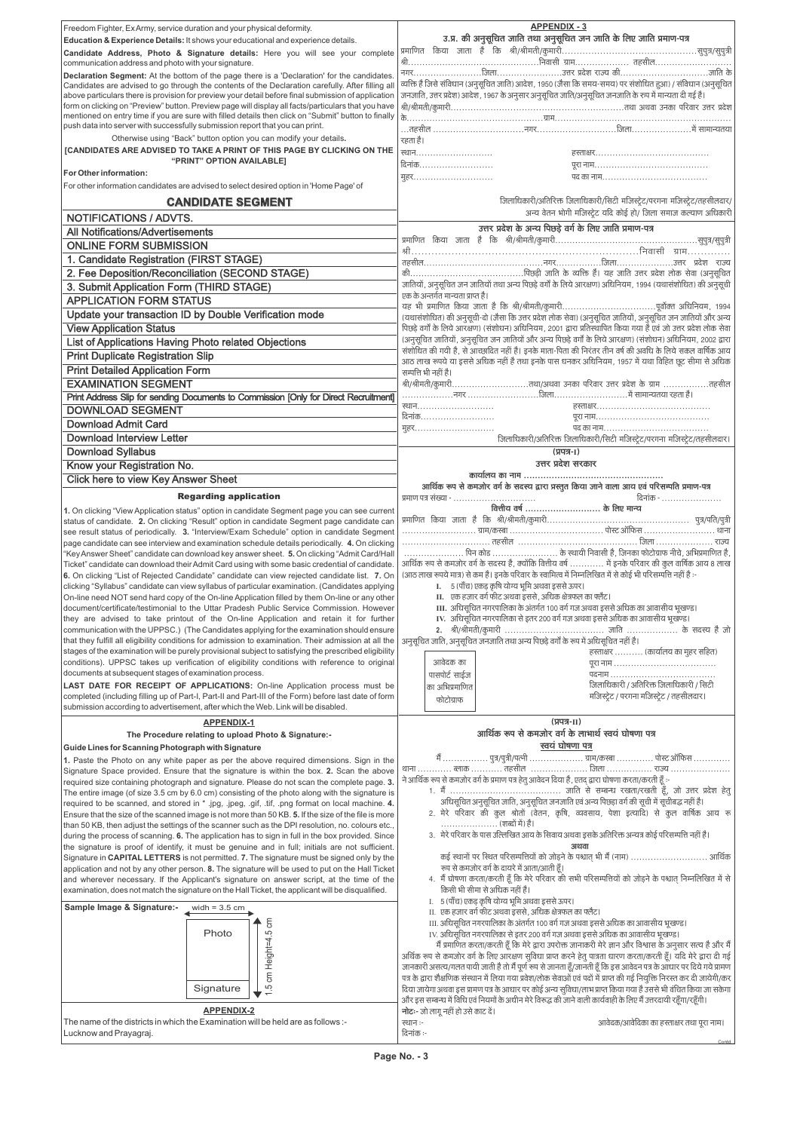| Signature in CAPITAL LETTERS is not permitted. 7. The signature must be signed only by the        | . कई स्थानों पर स्थित परिसम्पत्तियों को जोड़ने के पश्चात भी मैं (नाम)  आर्थिक                                             |
|---------------------------------------------------------------------------------------------------|---------------------------------------------------------------------------------------------------------------------------|
| application and not by any other person. 8. The signature will be used to put on the Hall Ticket  | रूप से कमजोर वर्ग के दायरे में आता/आती हूँ।                                                                               |
| and wherever necessary. If the Applicant's signature on answer script, at the time of the         | 4. मैं घोषणा करता/करती हूँ कि मेरे परिवार की सभी परिसम्पत्तियों को जोड़ने के पश्चात् निम्नलिखित में से                    |
| examination, does not match the signature on the Hall Ticket, the applicant will be disqualified. | किसी भी सीमा से अधिक नहीं है।                                                                                             |
|                                                                                                   | I. 5 (पाँच) एकड़ कृषि योग्य भूमि अथवा इससे ऊपर।                                                                           |
| Sample Image & Signature:-<br>widh = $3.5 \text{ cm}$                                             | II. एक हजार वर्ग फीट अथवा इससे, अधिक क्षेत्रफल का फ्लैट।                                                                  |
| 등                                                                                                 | III. अधिसूचित नगरपालिका के अंतर्गत 100 वर्ग गज अथवा इससे अधिक का आवासीय भूखण्ड।                                           |
| Photo                                                                                             | IV. अधिसूचित नगरपालिका से इतर 200 वर्ग गज अथवा इससे अधिक का आवासीय भूखण्ड।                                                |
|                                                                                                   | मैं प्रमाणित करता/करती हूँ कि मेरे द्वारा उपरोक्त जानाकरी मेरे ज्ञान और विश्वास के अनुसार सत्य है और मैं                  |
| eigh                                                                                              | अर्थिक रूप से कमजोर वर्ग के लिए आरक्षण सुविधा प्राप्त करने हेतु पात्रता धारण करता/करती हूँ। यदि मेरे द्वारा दी गई         |
|                                                                                                   | जानकारी असत्य/गलत पायी जाती है तो मैं पूर्ण रूप से जानता हूँ/जानती हूँ कि इस आवेदन पत्र के आधार पर दिये गये प्रामण        |
|                                                                                                   | पत्र के द्वारा शैक्षणिक संस्थान में लिया गया प्रवेश/लोक सेवाओं एवं पदों में प्राप्त की गई नियुक्ति निरस्त कर दी जायेगी/कर |
| Signature<br>c.                                                                                   | दिया जायेगा अथवा इस प्रामण पत्र के आधार पर कोई अन्य सुविधा/लाभ प्राप्त किया गया है उससे भी वंचित किया जा सकेगा            |
|                                                                                                   | और इस सम्बन्ध में विधि एवं नियमों के अधीन मेरे विरूद्ध की जाने वाली कार्यवाही के लिए मैं उत्तरदायी रहूँगा/रहूँगी।         |
| <b>APPENDIX-2</b>                                                                                 | नोटः- जो लागू नहीं हो उसे काट दें।                                                                                        |
| The name of the districts in which the Examination will be held are as follows :-                 | आवेदक/आवेदिका का हस्ताक्षर तथा पूरा नाम।<br>स्थान :-                                                                      |
| Lucknow and Prayagraj.                                                                            | दिनांक :-                                                                                                                 |
|                                                                                                   | Contd.                                                                                                                    |

| Freedom Fighter, Ex Army, service duration and your physical deformity.                                                                                                                                        | <b>APPENDIX - 3</b>                                                                                                                                                                                                            |
|----------------------------------------------------------------------------------------------------------------------------------------------------------------------------------------------------------------|--------------------------------------------------------------------------------------------------------------------------------------------------------------------------------------------------------------------------------|
| Education & Experience Details: It shows your educational and experience details.                                                                                                                              | उ.प्र. की अनुसूचित जाति तथा अनुसूचित जन जाति के लिए जाति प्रमाण-पत्र                                                                                                                                                           |
| Candidate Address, Photo & Signature details: Here you will see your complete                                                                                                                                  |                                                                                                                                                                                                                                |
| communication address and photo with your signature.                                                                                                                                                           |                                                                                                                                                                                                                                |
| Declaration Segment: At the bottom of the page there is a 'Declaration' for the candidates.<br>Candidates are advised to go through the contents of the Declaration carefully. After filling all               | व्यक्ति है जिसे संविधान (अनुसूचित जाति) आदेश, 1950 (जैसा कि समय-समय) पर संशोधित हुआ) / संविधान (अनुसूचित                                                                                                                       |
| above particulars there is provision for preview your detail before final submission of application                                                                                                            | जनजाति, उत्तर प्रदेश) आदेश, 1967 के अनुसार अनुसूचित जाति/अनुसूचित जनजाति के रुप में मान्यता दी गई है।                                                                                                                          |
| form on clicking on "Preview" button. Preview page will display all facts/particulars that you have                                                                                                            |                                                                                                                                                                                                                                |
| mentioned on entry time if you are sure with filled details then click on "Submit" button to finally<br>push data into server with successfully submission report that you can print.                          | के                                                                                                                                                                                                                             |
| Otherwise using "Back" button option you can modify your details.                                                                                                                                              |                                                                                                                                                                                                                                |
| [CANDIDATES ARE ADVISED TO TAKE A PRINT OF THIS PAGE BY CLICKING ON THE                                                                                                                                        | रहता है।                                                                                                                                                                                                                       |
| "PRINT" OPTION AVAILABLE]                                                                                                                                                                                      | दिनांक                                                                                                                                                                                                                         |
| For Other information:                                                                                                                                                                                         | महर                                                                                                                                                                                                                            |
| For other information candidates are advised to select desired option in 'Home Page' of                                                                                                                        |                                                                                                                                                                                                                                |
| <b>CANDIDATE SEGMENT</b>                                                                                                                                                                                       | जिलाधिकारी/अतिरिक्त जिलाधिकारी/सिटी मजिस्ट्रेट/परगना मजिस्ट्रेट/तहसीलदार/                                                                                                                                                      |
| <b>NOTIFICATIONS / ADVTS.</b>                                                                                                                                                                                  | अन्य वेतन भोगी मजिस्ट्रेट यदि कोई हो/ जिला समाज कल्याण अधिकारी                                                                                                                                                                 |
| <b>All Notifications/Advertisements</b>                                                                                                                                                                        | उत्तर प्रदेश के अन्य पिछड़े वर्ग के लिए जाति प्रमाण-पत्र                                                                                                                                                                       |
| <b>ONLINE FORM SUBMISSION</b>                                                                                                                                                                                  |                                                                                                                                                                                                                                |
| 1. Candidate Registration (FIRST STAGE)                                                                                                                                                                        |                                                                                                                                                                                                                                |
| 2. Fee Deposition/Reconciliation (SECOND STAGE)                                                                                                                                                                |                                                                                                                                                                                                                                |
| 3. Submit Application Form (THIRD STAGE)                                                                                                                                                                       | जातियों, अनुसूचित जन जातियों तथा अन्य पिछड़े वर्गों के लिये आरक्षण) अधिनियम, 1994 (यथासंशोधित) की अनुसूची                                                                                                                      |
| <b>APPLICATION FORM STATUS</b>                                                                                                                                                                                 | एक के अन्तर्गत मान्यता प्राप्त है।                                                                                                                                                                                             |
| Update your transaction ID by Double Verification mode                                                                                                                                                         |                                                                                                                                                                                                                                |
| <b>View Application Status</b>                                                                                                                                                                                 | (यथासंशोधित) की अनुसूची-दो (जैसा कि उत्तर प्रदेश लोक सेवा) (अनुसूचित जातियों, अनुसूचित जन जातियों और अन्य<br>पिछड़े वर्गों के लिये आरक्षण) (संशोधन) अधिनियम, 2001 द्वारा प्रतिस्थापित किया गया है एवं जो उत्तर प्रदेश लोक सेवा |
| List of Applications Having Photo related Objections                                                                                                                                                           | (अनुसूचित जातियों, अनुसूचित जन जातियों और अन्य पिछड़े वर्गों के लिये आरक्षण) (संशोधन) अधिनियम, 2002 द्वारा                                                                                                                     |
| <b>Print Duplicate Registration Slip</b>                                                                                                                                                                       | संशोधित की गयी है, से आच्छादित नहीं है। इनके माता-पिता की निरंतर तीन वर्ष की अवधि के लिये सकल वार्षिक आय                                                                                                                       |
| <b>Print Detailed Application Form</b>                                                                                                                                                                         | आठ लाख रूपये या इससे अधिक नहीं है तथा इनके पास धनकर अधिनियम, 1957 में यथा विहित छूट सीमा से अधिक                                                                                                                               |
| <b>EXAMINATION SEGMENT</b>                                                                                                                                                                                     | सम्पत्ति भी नहीं है।<br>श्री/श्रीमती/कुमारीतथा/अथवा उनका परिवार उत्तर प्रदेश के ग्राम तहसील                                                                                                                                    |
| Print Address Slip for sending Documents to Commission [Only for Direct Recruitment]                                                                                                                           |                                                                                                                                                                                                                                |
| <b>DOWNLOAD SEGMENT</b>                                                                                                                                                                                        |                                                                                                                                                                                                                                |
|                                                                                                                                                                                                                |                                                                                                                                                                                                                                |
| <b>Download Admit Card</b>                                                                                                                                                                                     | मुहर                                                                                                                                                                                                                           |
|                                                                                                                                                                                                                |                                                                                                                                                                                                                                |
| <b>Download Interview Letter</b>                                                                                                                                                                               | जिलाधिकारी/अतिरिक्त जिलाधिकारी/सिटी मजिस्ट्रेट/परगना मजिस्ट्रेट/तहसीलदार।                                                                                                                                                      |
| <b>Download Syllabus</b>                                                                                                                                                                                       | (प्रपत्र- <sub>I</sub> )                                                                                                                                                                                                       |
| Know your Registration No.                                                                                                                                                                                     | उत्तर प्रदेश सरकार                                                                                                                                                                                                             |
| <b>Click here to view Key Answer Sheet</b>                                                                                                                                                                     | आर्थिक रूप से कमजोर वर्ग के सदस्य द्वारा प्रस्तुत किया जाने वाला आय एवं परिसम्पति प्रमाण-पत्र                                                                                                                                  |
| <b>Regarding application</b>                                                                                                                                                                                   | दिनांक -                                                                                                                                                                                                                       |
| 1. On clicking "View Application status" option in candidate Segment page you can see current                                                                                                                  |                                                                                                                                                                                                                                |
| status of candidate. 2. On clicking "Result" option in candidate Segment page candidate can                                                                                                                    |                                                                                                                                                                                                                                |
| see result status of periodically. 3. "Interview/Exam Schedule" option in candidate Segment<br>page candidate can see interview and examination schedule details periodically. 4. On clicking                  |                                                                                                                                                                                                                                |
| "Key Answer Sheet" candidate can download key answer sheet. 5. On clicking "Admit Card/Hall                                                                                                                    | पिन कोड  के स्थायी निवासी है, जिनका फोटोग्राफ नीचे, अभिप्रमाणित है,                                                                                                                                                            |
| Ticket" candidate can download their Admit Card using with some basic credential of candidate.                                                                                                                 | आर्थिक रूप से कमजोर वर्ग के सदस्य है, क्योंकि वित्तीय वर्ष  में इनके परिवार की कुल वार्षिक आय 8 लाख                                                                                                                            |
| 6. On clicking "List of Rejected Candidate" candidate can view rejected candidate list. 7. On                                                                                                                  | (आठ लाख रूपये मात्र) से कम है। इनके परिवार के स्वामित्व में निम्नलिखित में से कोई भी परिसम्पत्ति नहीं है :-                                                                                                                    |
| clicking "Syllabus" candidate can view syllabus of particular examination. (Candidates applying<br>On-line need NOT send hard copy of the On-line Application filled by them On-line or any other              | I. 5 (पाँच) एकड़ कृषि योग्य भूमि अथवा इससे ऊपर।<br>II. एक हजार वर्ग फीट अथवा इससे, अधिक क्षेत्रफल का फ्लैट।                                                                                                                    |
| document/certificate/testimonial to the Uttar Pradesh Public Service Commission. However                                                                                                                       | III. अधिसूचित नगरपालिका के अंतर्गत 100 वर्ग गज अथवा इससे अधिक का आवासीय भूखण्ड।                                                                                                                                                |
| they are advised to take printout of the On-line Application and retain it for further                                                                                                                         | IV. अधिसूचित नगरपालिका से इतर 200 वर्ग गज अथवा इससे अधिक का आवासीय भूखण्ड।                                                                                                                                                     |
| communication with the UPPSC.) (The Candidates applying for the examination should ensure                                                                                                                      |                                                                                                                                                                                                                                |
| that they fulfill all eligibility conditions for admission to examination. Their admission at all the<br>stages of the examination will be purely provisional subject to satisfying the prescribed eligibility | अनुसूचित जाति, अनुसूचित जनजाति तथा अन्य पिछड़े वर्गों के रूप में अधिसूचित नहीं है।                                                                                                                                             |
| conditions). UPPSC takes up verification of eligibility conditions with reference to original                                                                                                                  | हस्ताक्षर  (कार्यालय का मुहर सहित)<br>आवेदक का                                                                                                                                                                                 |
| documents at subsequent stages of examination process.                                                                                                                                                         | पासपोर्ट साईज                                                                                                                                                                                                                  |
| LAST DATE FOR RECEIPT OF APPLICATIONS: On-line Application process must be                                                                                                                                     | जिलाधिकारी / अतिरिक्त जिलाधिकारी / सिटी<br>का अभिप्रमाणित                                                                                                                                                                      |
| completed (including filling up of Part-I, Part-II and Part-III of the Form) before last date of form                                                                                                          | मजिस्ट्रेट / परगना मजिस्ट्रेट / तहसीलदार।<br>फोटोग्राफ                                                                                                                                                                         |
| submission according to advertisement, after which the Web. Link will be disabled.                                                                                                                             |                                                                                                                                                                                                                                |
| <b>APPENDIX-1</b>                                                                                                                                                                                              | $(TTT - II)$<br>आर्थिक रूप से कमजोर वर्ग के लाभार्थ स्वयं घोषणा पत्र                                                                                                                                                           |
| The Procedure relating to upload Photo & Signature:-                                                                                                                                                           | स् <u>वयं घोषणा पत्र</u>                                                                                                                                                                                                       |
| Guide Lines for Scanning Photograph with Signature<br>1. Paste the Photo on any white paper as per the above required dimensions. Sign in the                                                                  | मैं  पुत्र/पुत्री/पत्नी  ग्राम/कस्बा  पोस्ट ऑफिस                                                                                                                                                                               |
| Signature Space provided. Ensure that the signature is within the box. 2. Scan the above                                                                                                                       | थाना  ब्लाक  तहसील    जिला  राज्य                                                                                                                                                                                              |
| required size containing photograph and signature. Please do not scan the complete page. 3.                                                                                                                    | ने आर्थिक रूप से कमजोर वर्ग के प्रमाण पत्र हेतु आवेदन दिया है, एतद् द्वारा घोषणा करता/करती हूँ :-                                                                                                                              |
| The entire image (of size 3.5 cm by 6.0 cm) consisting of the photo along with the signature is                                                                                                                |                                                                                                                                                                                                                                |
| required to be scanned, and stored in * .jpg, .jpeg, .gif, .tif, .png format on local machine. 4.                                                                                                              | अधिसूचित अनुसूचित जाति, अनुसूचित जनजाति एवं अन्य पिछड़ा वर्ग की सूची में सूचीबद्ध नहीं है।<br>2. मेरे परिवार की कुल श्रोतों (वेतन, कृषि, व्यवसाय, पेशा इत्यादि) से कुल वार्षिक आय रू                                           |
| Ensure that the size of the scanned image is not more than 50 KB. 5. If the size of the file is more<br>than 50 KB, then adjust the settings of the scanner such as the DPI resolution, no. colours etc.,      | (शब्दों में) है।                                                                                                                                                                                                               |
| during the process of scanning. 6. The application has to sign in full in the box provided. Since<br>the signature is proof of identify, it must be genuine and in full; initials are not sufficient.          | 3. मेरे परिवार के पास उल्लिखित आय के सिवाय अथवा इसके अतिरिक्त अन्यत्र कोई परिसम्पत्ति नहीं है।<br>अथवा                                                                                                                         |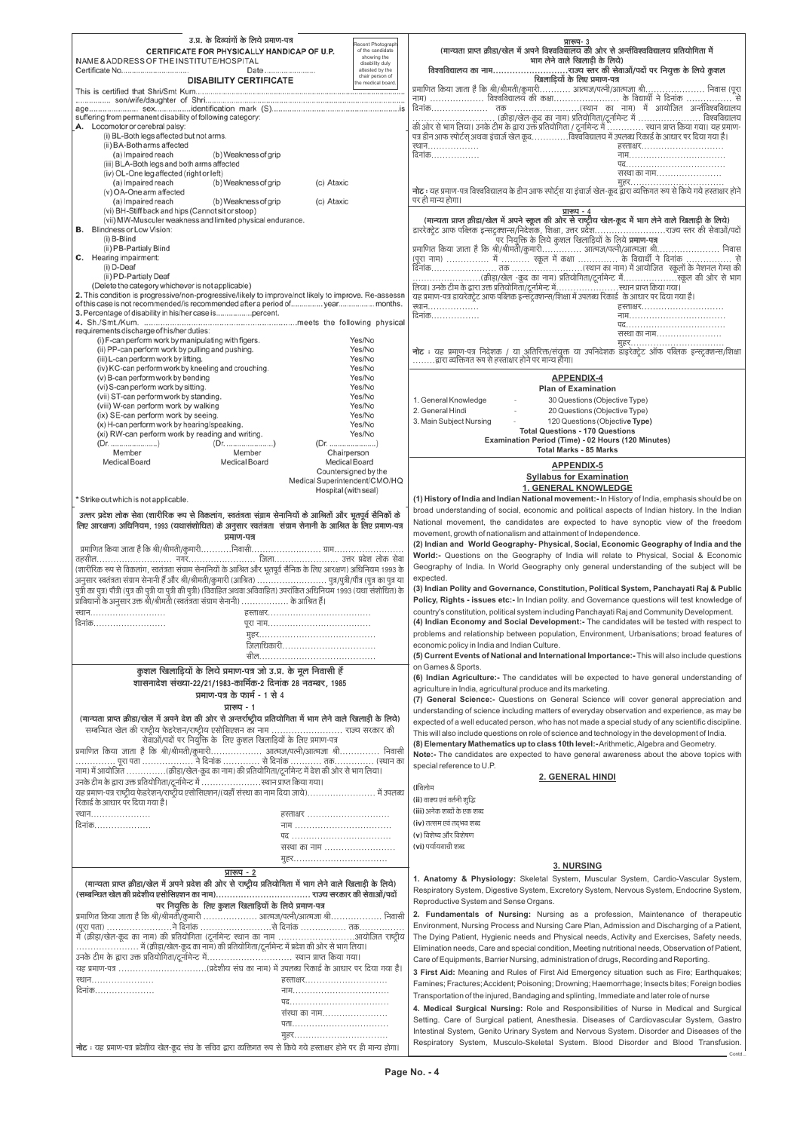| उ.प्र. के दिव्यांगों के लिये प्रमाण-पत्र                                                                                         |                                       |                                                                                                                                                                                                       |
|----------------------------------------------------------------------------------------------------------------------------------|---------------------------------------|-------------------------------------------------------------------------------------------------------------------------------------------------------------------------------------------------------|
|                                                                                                                                  |                                       | प्रारूप- 3                                                                                                                                                                                            |
|                                                                                                                                  | Recent Photograph<br>of the candidate | (मान्यता प्राप्त क्रीडा/खेल में अपने विश्वविद्यालय की ओर से अन्तीविश्वविद्यालय प्रतियोगिता में                                                                                                        |
| CERTIFICATE FOR PHYSICALLY HANDICAP OF U.P.                                                                                      | showing the                           |                                                                                                                                                                                                       |
| NAME & ADDRESS OF THE INSTITUTE/HOSPITAL                                                                                         | disability duly                       | भाग लेने वाले खिलाड़ी के लिये)                                                                                                                                                                        |
| Certificate No<br>Date                                                                                                           | attested by the                       |                                                                                                                                                                                                       |
| <b>DISABILITY CERTIFICATE</b>                                                                                                    | chair person of<br>the medical board. | खिलाड़ियों के लिए प्रमाण-पत्र                                                                                                                                                                         |
|                                                                                                                                  |                                       |                                                                                                                                                                                                       |
|                                                                                                                                  |                                       | प्रमाणित किया जाता है कि श्री/श्रीमती/कुमारी आत्मज/पत्नी/आत्मजा श्री निवास (पूरा<br>नाम)  विश्वविद्यालय की कक्षा के विद्यार्थी ने दिनांक                                                              |
|                                                                                                                                  |                                       |                                                                                                                                                                                                       |
|                                                                                                                                  |                                       |                                                                                                                                                                                                       |
| suffering from permanent disability of following category:                                                                       |                                       | (क्रीड़ा/खेल-कूद का नाम) प्रतियोगिता/टूर्नामेन्ट में  विश्वविद्यालय                                                                                                                                   |
| A. Locomotor or cerebral palsy:                                                                                                  |                                       | की ओर से भाग लिया। उनके टीम के द्वारा उक्त प्रतियोगिता / टूर्नामेन्ट में  स्थान प्राप्त किया गया। यह प्रमाण-<br>पत्र डीन आफ स्पोर्टस् अथवा इंचार्ज खेल कूदविश्वविद्यालय में उपलब्ध रिकार्ड के आधार पर |
| (i) BL-Both legs affected but not arms.                                                                                          |                                       |                                                                                                                                                                                                       |
| (ii) BA-Both arms affected                                                                                                       |                                       | स्थान………………<br>हस्ताक्षर                                                                                                                                                                              |
| (a) Impaired reach                                                                                                               |                                       | दिनांक                                                                                                                                                                                                |
| (b) Weakness of grip                                                                                                             |                                       | नाम…………………………………                                                                                                                                                                                      |
| (iii) BLA-Both legs and both arms affected                                                                                       |                                       | पद                                                                                                                                                                                                    |
| (iv) OL-One leg affected (right or left)                                                                                         |                                       | संस्था का नाम                                                                                                                                                                                         |
| (a) Impaired reach<br>(b) Weakness of grip                                                                                       | (c) Ataxic                            | मुहर                                                                                                                                                                                                  |
| (v) OA-One arm affected                                                                                                          |                                       | नोट : यह प्रमाण-पत्र विश्वविद्यालय के डीन आफ स्पोर्ट्स या इंचार्ज खेल-कूद द्वारा व्यक्तिगत रूप से किये गये हस्ताक्षर होने                                                                             |
|                                                                                                                                  |                                       | पर ही मान्य होगा।                                                                                                                                                                                     |
| (a) Impaired reach<br>(b) Weakness of grip                                                                                       | (c) Ataxic                            |                                                                                                                                                                                                       |
| (vi) BH-Stiff back and hips (Cannot sit or stoop)                                                                                |                                       | प्रारूप - 4                                                                                                                                                                                           |
| (vii) MW-Musculer weakness and limited physical endurance.                                                                       |                                       | (मान्यता प्राप्त क्रीडा/खेल में अपने स्कूल की ओर से राष्ट्रीय खेल-कूद में भाग लेने वाले खिलाड़ी के लिये)                                                                                              |
| <b>B.</b> Blindness or Low Vision:                                                                                               |                                       | डाररेक्ट्रेट आफ पब्लिक इन्सट्रक्शन्स/निदेशक, शिक्षा, उत्तर प्रदेशराज्य स्तर की सेवाओं/पदो                                                                                                             |
| (i) B-Blind                                                                                                                      |                                       | .<br>पर नियुक्ति के लिये कुशल खिलाड़ियों के लिये <b>प्रमाण-पत्र</b>                                                                                                                                   |
|                                                                                                                                  |                                       |                                                                                                                                                                                                       |
| (ii) PB-Partialy Blind                                                                                                           |                                       | प्रमाणित किया जाता है कि श्री/श्रीमती/कुमारी आत्मज/पत्नी/आत्मजा श्री निवास                                                                                                                            |
| C. Hearing impairment:                                                                                                           |                                       | (पूरा नाम)  में  स्कूल में कक्षा  के विद्यार्थी ने दिनांक  से                                                                                                                                         |
| $(i) D-Deaf$                                                                                                                     |                                       |                                                                                                                                                                                                       |
| (ii) PD-Partialy Deaf                                                                                                            |                                       |                                                                                                                                                                                                       |
|                                                                                                                                  |                                       |                                                                                                                                                                                                       |
| (Delete the category whichever is not applicable)                                                                                |                                       | लिया। उनके टीम के द्वारा उक्त प्रतियोगिता/टूर्नामेन्ट मेंस्थान प्राप्त किया गया।                                                                                                                      |
| 2. This condition is progressive/non-progressive/likely to improve/not likely to improve. Re-assessn                             |                                       | यह प्रमाण-पत्र डायरेक्ट्रेट आफ पब्लिक इन्सेंट्रक्शन्स/शिक्षा में उपलब्ध रिकार्ड के आधार पर दिया गया है।                                                                                               |
| of this case is not recommended/is recommended after a period of year months.                                                    |                                       | स्थान<br>हस्ताक्षर                                                                                                                                                                                    |
| 3. Percentage of disability in his/her case ispercent.                                                                           |                                       | दिनांक<br>नाम                                                                                                                                                                                         |
|                                                                                                                                  |                                       |                                                                                                                                                                                                       |
| requirements discharge of his/her duties:                                                                                        |                                       |                                                                                                                                                                                                       |
|                                                                                                                                  |                                       | सस्था का नाम                                                                                                                                                                                          |
| (i) F-can perform work by manipulating with figers.                                                                              | Yes/No                                |                                                                                                                                                                                                       |
| (ii) PP-can perform work by pulling and pushing.                                                                                 | Yes/No                                | नोट : यह प्रमाण-पत्र निदेशक / या अतिरिक्त/संयुक्त या उपनिदेशक डाइरेक्ट्रेट ऑफ पब्लिक इन्स्ट्रक्शन्स/शिक्षा                                                                                            |
| (iii) L-can perform work by lifting.                                                                                             | Yes/No                                | द्वारा व्यक्तिगत रूप से हस्ताक्षर होने पर मान्य होगा।                                                                                                                                                 |
| (iv) KC-can perform work by kneeling and crouching.                                                                              | Yes/No                                |                                                                                                                                                                                                       |
|                                                                                                                                  |                                       |                                                                                                                                                                                                       |
| (v) B-can perform work by bending                                                                                                | Yes/No                                | <b>APPENDIX-4</b>                                                                                                                                                                                     |
| (vi) S-can perform work by sitting.                                                                                              | Yes/No                                | <b>Plan of Examination</b>                                                                                                                                                                            |
| (vii) ST-can perform work by standing.                                                                                           | Yes/No                                | 1. General Knowledge<br>30 Questions (Objective Type)                                                                                                                                                 |
| (viii) W-can perform work by walking                                                                                             | Yes/No                                |                                                                                                                                                                                                       |
| (ix) SE-can perform work by seeing.                                                                                              | Yes/No                                | 2. General Hindi<br>20 Questions (Objective Type)                                                                                                                                                     |
|                                                                                                                                  |                                       | 3. Main Subject Nursing<br>120 Questions (Objective Type)                                                                                                                                             |
| (x) H-can perform work by hearing/speaking.                                                                                      | Yes/No                                | <b>Total Questions - 170 Questions</b>                                                                                                                                                                |
| (xi) RW-can perform work by reading and writing.                                                                                 | Yes/No                                |                                                                                                                                                                                                       |
| (Dr. )                                                                                                                           | (Dr. )                                | Examination Period (Time) - 02 Hours (120 Minutes)                                                                                                                                                    |
| Member<br>Member                                                                                                                 | Chairperson                           | <b>Total Marks - 85 Marks</b>                                                                                                                                                                         |
|                                                                                                                                  |                                       |                                                                                                                                                                                                       |
|                                                                                                                                  |                                       |                                                                                                                                                                                                       |
| Medical Board<br>Medical Board                                                                                                   | Medical Board                         |                                                                                                                                                                                                       |
|                                                                                                                                  | Countersigned by the                  | <b>APPENDIX-5</b>                                                                                                                                                                                     |
|                                                                                                                                  |                                       | <b>Syllabus for Examination</b>                                                                                                                                                                       |
|                                                                                                                                  | Medical Superintendent/CMO/HQ         |                                                                                                                                                                                                       |
|                                                                                                                                  | Hospital (with seal)                  | <b>1. GENERAL KNOWLEDGE</b>                                                                                                                                                                           |
| * Strike out which is not applicable.                                                                                            |                                       | (1) History of India and Indian National movement: - In History of India, emphasis should be on                                                                                                       |
|                                                                                                                                  |                                       | broad understanding of social, economic and political aspects of Indian history. In the Indian                                                                                                        |
| उत्तर प्रदेश लोक सेवा (शारीरिक रूप से विकलांग, स्वतंत्रता संग्राम सेनानियों के आश्रितों और भूतपूर्व सैनिकों के                   |                                       |                                                                                                                                                                                                       |
| लिए आरक्षण) अधिनियम, 1993 (यथासंशोधित) के अनुसार स्वतंत्रता संग्राम सेनानी के आश्रित के लिए प्रमाण-पत्र                          |                                       | National movement, the candidates are expected to have synoptic view of the freedom                                                                                                                   |
|                                                                                                                                  |                                       | movement, growth of nationalism and attainment of Independence.                                                                                                                                       |
| प्रमाण-पत्र                                                                                                                      |                                       |                                                                                                                                                                                                       |
|                                                                                                                                  |                                       | (2) Indian and World Geography- Physical, Social, Economic Geography of India and the                                                                                                                 |
|                                                                                                                                  |                                       | World:- Questions on the Geography of India will relate to Physical, Social & Economic                                                                                                                |
|                                                                                                                                  |                                       |                                                                                                                                                                                                       |
| (शारीरिक रूप से विकलांग, स्वतंत्रता संग्राम सेनानियों के आश्रित और भूतपूर्व सैनिक के लिए आरक्षण) अधिनियम 1993 के                 |                                       | Geography of India. In World Geography only general understanding of the subject will be                                                                                                              |
|                                                                                                                                  |                                       | expected.                                                                                                                                                                                             |
|                                                                                                                                  |                                       | (3) Indian Polity and Governance, Constitution, Political System, Panchayati Raj & Public                                                                                                             |
|                                                                                                                                  |                                       |                                                                                                                                                                                                       |
| प्राविधानों के अनुसार उक्त श्री/श्रीमती (स्वतंत्रता संग्राम सेनानी)  के आश्रित हैं।                                              |                                       | Policy, Rights - issues etc:- In Indian polity. and Governance questions will test knowledge of                                                                                                       |
| स्थान                                                                                                                            |                                       | country's constitution, political system including Panchayati Raj and Community Development.                                                                                                          |
|                                                                                                                                  |                                       |                                                                                                                                                                                                       |
| दिनांक                                                                                                                           |                                       | (4) Indian Economy and Social Development:- The candidates will be tested with respect to                                                                                                             |
|                                                                                                                                  |                                       | problems and relationship between population, Environment, Urbanisations; broad features of                                                                                                           |
|                                                                                                                                  |                                       |                                                                                                                                                                                                       |
| ँ<br>जिलाधिकारी                                                                                                                  |                                       | economic policy in India and Indian Culture.                                                                                                                                                          |
|                                                                                                                                  |                                       | (5) Current Events of National and International Importance:- This will also include questions                                                                                                        |
|                                                                                                                                  |                                       |                                                                                                                                                                                                       |
| कुशल खिलाड़ियों के लिये प्रमाण-पत्र जो उ.प्र. के मूल निवासी हैं                                                                  |                                       | on Games & Sports.                                                                                                                                                                                    |
|                                                                                                                                  |                                       | (6) Indian Agriculture:- The candidates will be expected to have general understanding of                                                                                                             |
| शासनादेश संख्या-22/21/1983-कार्मिक-2 दिनांक 28 नवम्बर, 1985                                                                      |                                       | agriculture in India, agricultural produce and its marketing.                                                                                                                                         |
| प्रमाण-पत्र के फार्म - 1 से 4                                                                                                    |                                       |                                                                                                                                                                                                       |
|                                                                                                                                  |                                       | (7) General Science:- Questions on General Science will cover general appreciation and                                                                                                                |
| प्रारूप - 1                                                                                                                      |                                       | understanding of science including matters of everyday observation and experience, as may be                                                                                                          |
| (मान्यता प्राप्त क्रीडा/खेल में अपने देश की ओर से अन्तर्राष्ट्रीय प्रतियोगिता में भाग लेने वाले खिलाड़ी के लिये)                 |                                       |                                                                                                                                                                                                       |
|                                                                                                                                  |                                       | expected of a well educated person, who has not made a special study of any scientific discipline.                                                                                                    |
| सम्बन्धित खेल की राष्ट्रीय फेडरेशन/राष्ट्रीय एसोसिएशन का नाम  राज्य सरकार की                                                     |                                       | This will also include questions on role of science and technology in the development of India.                                                                                                       |
| सेवाओं/पदों पर नियुक्ति के लिए कुशल खिलाड़ियों के लिए प्रमाण-पत्र                                                                |                                       |                                                                                                                                                                                                       |
|                                                                                                                                  |                                       | (8) Elementary Mathematics up to class 10th level:-Arithmetic, Algebra and Geometry.                                                                                                                  |
| प्रमाणित किया जाता है कि श्री/श्रीमती/कुमारी आत्मज/पत्नी/आत्मजा श्री निवासी                                                      |                                       | Note:- The candidates are expected to have general awareness about the above topics with                                                                                                              |
| पूरा पता  ने दिनांक  से दिनांक  तक (स्थान का                                                                                     |                                       | special reference to U.P.                                                                                                                                                                             |
| नाम) में आयोजित (क्रीड़ा/खेल-कूद का नाम) की प्रतियोगिता/टूर्नामेन्ट में देश की ओर से भाग लिया।                                   |                                       |                                                                                                                                                                                                       |
|                                                                                                                                  |                                       | <b>2. GENERAL HINDI</b>                                                                                                                                                                               |
| उनके टीम के द्वारा उक्त प्रतियोगिता/टूर्नामेन्ट में स्थान प्राप्त किया गया।                                                      |                                       | (।विलोम                                                                                                                                                                                               |
|                                                                                                                                  |                                       |                                                                                                                                                                                                       |
| यह प्रमाण-पत्र राष्ट्रीय फेडरेशन/राष्ट्रीय एसोसिएशन/(यहाँ संस्था का नाम दिया जाये) में उपलब्ध<br>रिकार्ड के आधार पर दिया गया है। |                                       | (ii) वाक्य एवं वर्तनी शूद्धि                                                                                                                                                                          |
|                                                                                                                                  |                                       | (iii) अनेक शब्दों के एक शब्द                                                                                                                                                                          |
| स्थान                                                                                                                            | हस्ताक्षर                             |                                                                                                                                                                                                       |
| <u> दिनांक.</u>                                                                                                                  | नाम                                   | (iv) तत्सम एवं तद्भव शब्द                                                                                                                                                                             |
|                                                                                                                                  |                                       | (v) विशेष्य और विशेषण                                                                                                                                                                                 |
|                                                                                                                                  | पद<br>सस्था का नाम                    | (vi) पर्यायवाची शब्द                                                                                                                                                                                  |

| मृहर<br>प्रारूप - 2<br>(मान्यता प्राप्त क्रीडा/खेल में अपने प्रदेश की ओर से राष्ट्रीय प्रतियोगिता में भाग लेने वाले खिलाड़ी के लिये)<br>पर नियुक्ति के लिए कुशल खिलाड़ियों के लिये प्रमाण-पत्र<br>प्रमाणित किया जाता है कि श्री/श्रीमती/कुमारी  आत्मज/पत्नी/आत्मजा श्री निवासी<br>(पूरा पता) ने दिनांक से दिनांक  तक<br>में (क्रीड़ा/खेल-कूद का नाम) की प्रतियोगिता (टूर्नामेन्ट स्थान का नाम आयोजित राष्ट्रीय<br>उनके टीम के द्वारा उक्त प्रतियोगिता/टूर्नामेन्ट में स्थान प्राप्त किया गया।<br>यह प्रमाण-पत्र (प्रदेशीय संघ का नाम) में उपलब्ध रिकार्ड के आधार पर दिया गया है।<br>स्थान……………………<br>हस्ताक्षर | <b>3. NURSING</b><br>1. Anatomy & Physiology: Skeletal System, Muscular System, Cardio-Vascular System,<br>Respiratory System, Digestive System, Excretory System, Nervous System, Endocrine System,<br>Reproductive System and Sense Organs.<br>Fundamentals of Nursing: Nursing as a profession, Maintenance of therapeutic<br>2.<br>Environment, Nursing Process and Nursing Care Plan, Admission and Discharging of a Patient,<br>The Dying Patient, Hygienic needs and Physical needs, Activity and Exercises, Safety needs,<br>Elimination needs, Care and special condition, Meeting nutritional needs, Observation of Patient,<br>Care of Equipments, Barrier Nursing, administration of drugs, Recording and Reporting.<br>3 First Aid: Meaning and Rules of First Aid Emergency situation such as Fire; Earthquakes;<br>Famines; Fractures; Accident; Poisoning; Drowning; Haemorrhage; Insects bites; Foreign bodies |
|----------------------------------------------------------------------------------------------------------------------------------------------------------------------------------------------------------------------------------------------------------------------------------------------------------------------------------------------------------------------------------------------------------------------------------------------------------------------------------------------------------------------------------------------------------------------------------------------------------------|---------------------------------------------------------------------------------------------------------------------------------------------------------------------------------------------------------------------------------------------------------------------------------------------------------------------------------------------------------------------------------------------------------------------------------------------------------------------------------------------------------------------------------------------------------------------------------------------------------------------------------------------------------------------------------------------------------------------------------------------------------------------------------------------------------------------------------------------------------------------------------------------------------------------------------|
| त्त्विनाक<br>.<br>नाम………………………………………<br>सस्था का नाम<br>पता<br>मूहर<br>नोट : यह प्रमाण-पत्र प्रदेशीय खेल-कूद संघ के सचिव द्वारा व्यक्तिगत रूप से किये गये हस्ताक्षर होने पर ही मान्य होगा।                                                                                                                                                                                                                                                                                                                                                                                                                     | Transportation of the injured, Bandaging and splinting, Immediate and later role of nurse<br>4. Medical Surgical Nursing: Role and Responsibilities of Nurse in Medical and Surgical<br>Setting. Care of Surgical patient, Anesthesia. Diseases of Cardiovascular System, Gastro<br>Intestinal System, Genito Urinary System and Nervous System. Disorder and Diseases of the<br>Respiratory System, Musculo-Skeletal System. Blood Disorder and Blood Transfusion.                                                                                                                                                                                                                                                                                                                                                                                                                                                             |